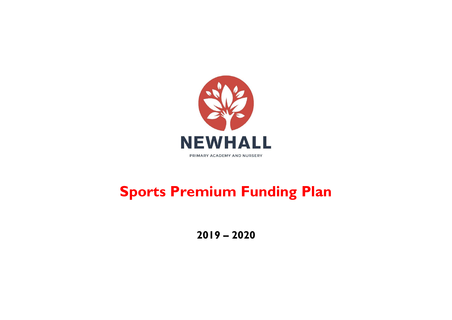

## **Sports Premium Funding Plan**

**2019 – 2020**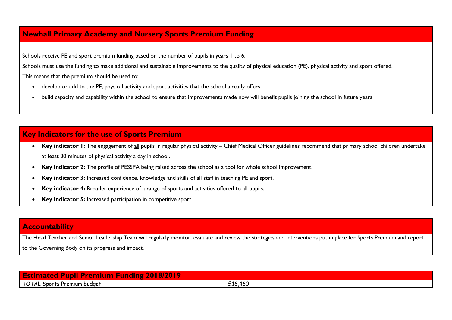## **Newhall Primary Academy and Nursery Sports Premium Funding**

Schools receive PE and sport premium funding based on the number of pupils in years 1 to 6.

Schools must use the funding to make additional and sustainable improvements to the quality of physical education (PE), physical activity and sport offered.

This means that the premium should be used to:

- develop or add to the PE, physical activity and sport activities that the school already offers
- build capacity and capability within the school to ensure that improvements made now will benefit pupils joining the school in future years

## **Key Indicators for the use of Sports Premium**

- Key indicator 1: The engagement of all pupils in regular physical activity Chief Medical Officer guidelines recommend that primary school children undertake at least 30 minutes of physical activity a day in school.
- **Key indicator 2:** The profile of PESSPA being raised across the school as a tool for whole school improvement.
- **Key indicator 3:** Increased confidence, knowledge and skills of all staff in teaching PE and sport.
- **Key indicator 4:** Broader experience of a range of sports and activities offered to all pupils.
- **Key indicator 5:** Increased participation in competitive sport.

## **Accountability**

The Head Teacher and Senior Leadership Team will regularly monitor, evaluate and review the strategies and interventions put in place for Sports Premium and report to the Governing Body on its progress and impact.

| $\sim$<br>m<br><b>COMPA</b><br>ы<br>$\sim$<br>427<br>- 11<br><b>STATISTICS</b><br><b>AUT</b>                                                            |                      |  |  |  |  |
|---------------------------------------------------------------------------------------------------------------------------------------------------------|----------------------|--|--|--|--|
| budaet<br>` µremium ∟<br>$\overline{\phantom{a}}$ and $\overline{\phantom{a}}$ and $\overline{\phantom{a}}$ and $\overline{\phantom{a}}$<br>י ש<br>ا دا | $\sim$ 4.<br>L16,460 |  |  |  |  |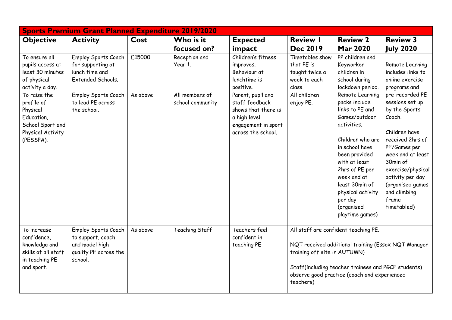| <b>Sports Premium Grant Planned Expenditure 2019/2020</b>                                                  |                                                                                                |          |                                    |                                                                                                                         |                                                                                                                                                                                                                                                 |                                                                                                                                                                                                                                                                                 |                                                                                                                                                                                                                                                          |  |  |
|------------------------------------------------------------------------------------------------------------|------------------------------------------------------------------------------------------------|----------|------------------------------------|-------------------------------------------------------------------------------------------------------------------------|-------------------------------------------------------------------------------------------------------------------------------------------------------------------------------------------------------------------------------------------------|---------------------------------------------------------------------------------------------------------------------------------------------------------------------------------------------------------------------------------------------------------------------------------|----------------------------------------------------------------------------------------------------------------------------------------------------------------------------------------------------------------------------------------------------------|--|--|
| <b>Objective</b>                                                                                           | <b>Activity</b>                                                                                | Cost     | Who is it<br>focused on?           | <b>Expected</b><br>impact                                                                                               | <b>Review I</b><br><b>Dec 2019</b>                                                                                                                                                                                                              | <b>Review 2</b><br><b>Mar 2020</b>                                                                                                                                                                                                                                              | <b>Review 3</b><br><b>July 2020</b>                                                                                                                                                                                                                      |  |  |
| To ensure all<br>pupils access at<br>least 30 minutes<br>of physical<br>activity a day.                    | Employ Sports Coach<br>for supporting at<br>lunch time and<br>Extended Schools.                | £15000   | Reception and<br>Year 1.           | Children's fitness<br>improves.<br>Behaviour at<br>lunchtime is<br>positive.                                            | Timetables show<br>that PE is<br>taught twice a<br>week to each<br>class.                                                                                                                                                                       | PP children and<br>Keyworker<br>children in<br>school during<br>lockdown period.                                                                                                                                                                                                | Remote Learning<br>includes links to<br>online exercise<br>programs and                                                                                                                                                                                  |  |  |
| To raise the<br>profile of<br>Physical<br>Education,<br>School Sport and<br>Physical Activity<br>(PESSPA). | <b>Employ Sports Coach</b><br>to lead PE across<br>the school.                                 | As above | All members of<br>school community | Parent, pupil and<br>staff feedback<br>shows that there is<br>a high level<br>engagement in sport<br>across the school. | All children<br>enjoy PE.                                                                                                                                                                                                                       | Remote Learning<br>packs include<br>links to PE and<br>Games/outdoor<br>activities.<br>Children who are<br>in school have<br>been provided<br>with at least<br>2hrs of PE per<br>week and at<br>least 30min of<br>physical activity<br>per day<br>(organised<br>playtime games) | pre-recorded PE<br>sessions set up<br>by the Sports<br>Coach.<br>Children have<br>received 2hrs of<br>PE/Games per<br>week and at least<br>30min of<br>exercise/physical<br>activity per day<br>(organised games<br>and climbing<br>frame<br>timetabled) |  |  |
| To increase<br>confidence,<br>knowledge and<br>skills of all staff<br>in teaching PE<br>and sport.         | Employ Sports Coach<br>to support, coach<br>and model high<br>quality PE across the<br>school. | As above | Teaching Staff                     | Teachers feel<br>confident in<br>teaching PE                                                                            | All staff are confident teaching PE.<br>NQT received additional training (Essex NQT Manager<br>training off site in AUTUMN)<br>Staff(including teacher trainees and PGCE students)<br>observe good practice (coach and experienced<br>teachers) |                                                                                                                                                                                                                                                                                 |                                                                                                                                                                                                                                                          |  |  |